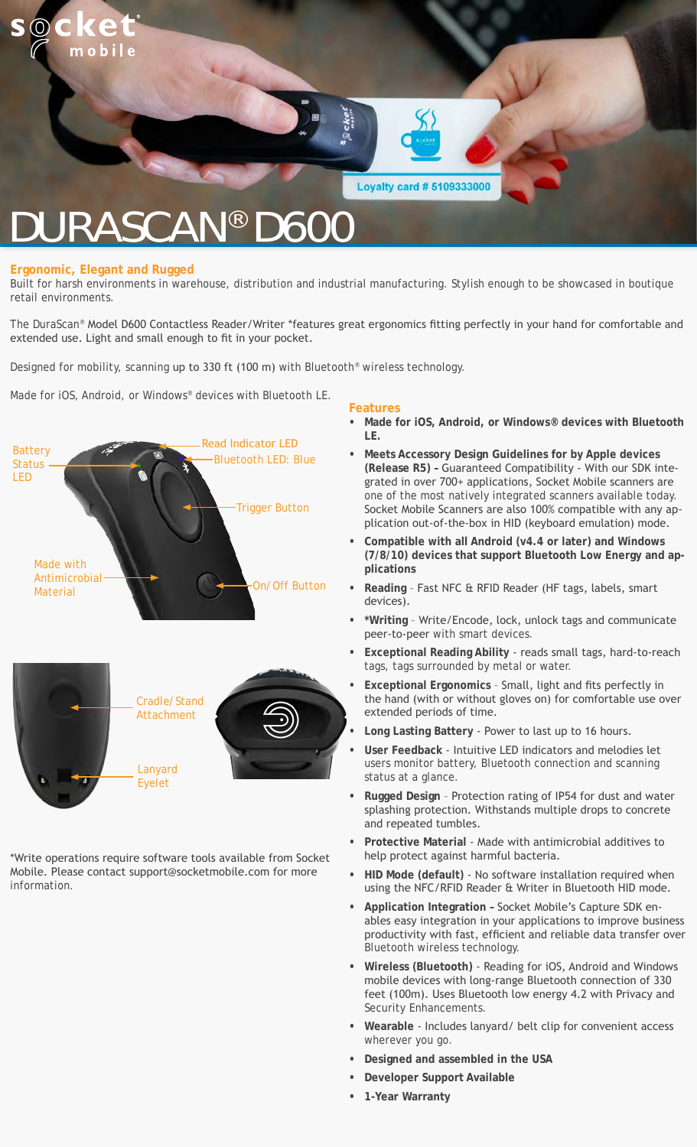

#### **Ergonomic, Elegant and Rugged**

Built for harsh environments in warehouse, distribution and industrial manufacturing. Stylish enough to be showcased in boutique retail environments.

The DuraScan® Model D600 Contactless Reader/Writer \*features great ergonomics fitting perfectly in your hand for comfortable and extended use. Light and small enough to fit in your pocket.

Designed for mobility, scanning up to 330 ft (100 m) with Bluetooth<sup>®</sup> wireless technology.

Made for iOS, Android, or Windows® devices with Bluetooth LE.

![](_page_0_Picture_6.jpeg)

\*Write operations require software tools available from Socket Mobile. Please contact support@socketmobile.com for more information.

#### **Features**

- **• Made for iOS, Android, or Windows® devices with Bluetooth LE.**
- **• Meets Accessory Design Guidelines for by Apple devices (Release R5) –** Guaranteed Compatibility - With our SDK integrated in over 700+ applications, Socket Mobile scanners are one of the most natively integrated scanners available today. Socket Mobile Scanners are also 100% compatible with any application out-of-the-box in HID (keyboard emulation) mode.
- **• Compatible with all Android (v4.4 or later) and Windows (7/8/10) devices that support Bluetooth Low Energy and applications**
- **• Reading** Fast NFC & RFID Reader (HF tags, labels, smart devices).
- **• \*Writing** Write/Encode, lock, unlock tags and communicate peer-to-peer with smart devices.
- **• Exceptional Reading Ability** reads small tags, hard-to-reach tags, tags surrounded by metal or water.
- **• Exceptional Ergonomics** Small, light and fits perfectly in the hand (with or without gloves on) for comfortable use over extended periods of time.
- **• Long Lasting Battery** Power to last up to 16 hours.
- **• User Feedback** Intuitive LED indicators and melodies let users monitor battery, Bluetooth connection and scanning status at a glance.
- **• Rugged Design** Protection rating of IP54 for dust and water splashing protection. Withstands multiple drops to concrete and repeated tumbles.
- **• Protective Material** Made with antimicrobial additives to help protect against harmful bacteria.
- **• HID Mode (default)**  No software installation required when using the NFC/RFID Reader & Writer in Bluetooth HID mode.
- **• Application Integration** Socket Mobile's Capture SDK enables easy integration in your applications to improve business productivity with fast, efficient and reliable data transfer over Bluetooth wireless technology.
- **• Wireless (Bluetooth)** Reading for iOS, Android and Windows mobile devices with long-range Bluetooth connection of 330 feet (100m). Uses Bluetooth low energy 4.2 with Privacy and Security Enhancements.
- **• Wearable** Includes lanyard/ belt clip for convenient access wherever you go.
- **• Designed and assembled in the USA**
- **• Developer Support Available**
- **• 1-Year Warranty**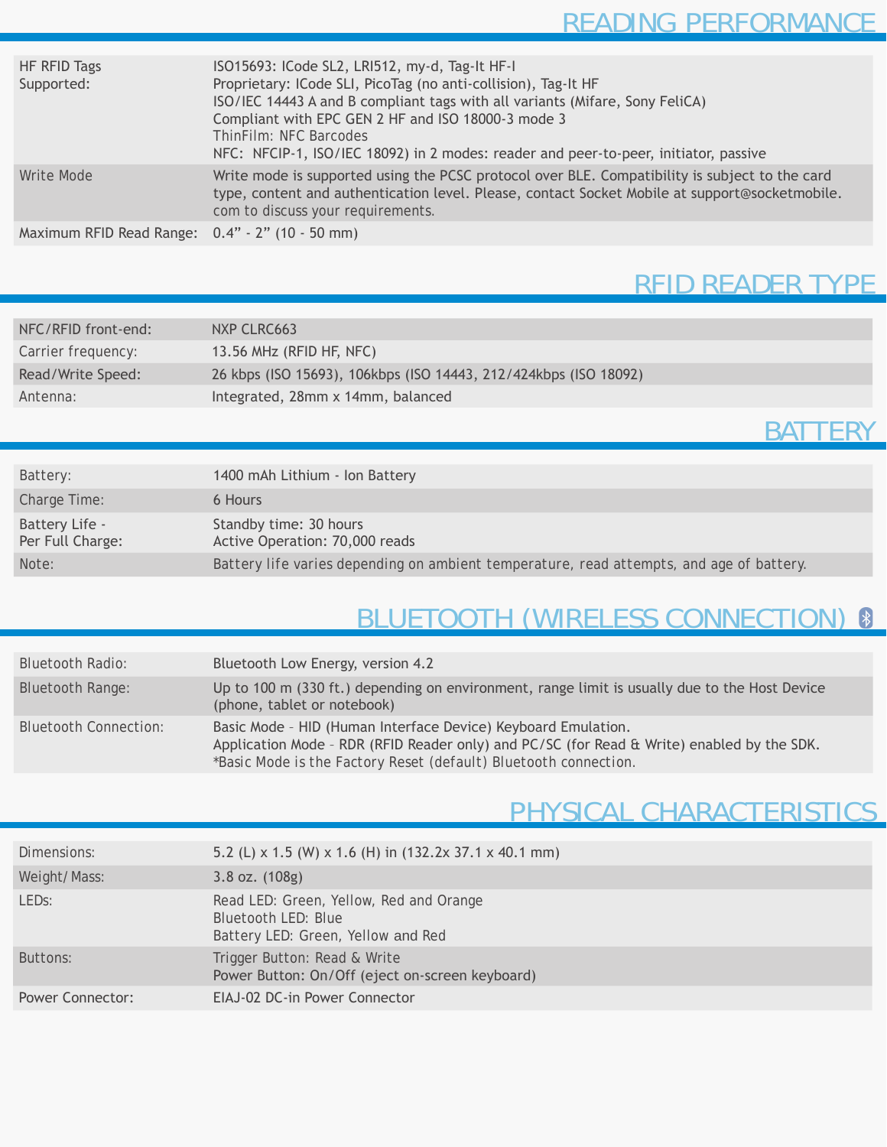| HF RFID Tags<br>Supported:                      | ISO15693: ICode SL2, LRI512, my-d, Tag-It HF-I<br>Proprietary: ICode SLI, PicoTag (no anti-collision), Tag-It HF<br>ISO/IEC 14443 A and B compliant tags with all variants (Mifare, Sony FeliCA)<br>Compliant with EPC GEN 2 HF and ISO 18000-3 mode 3<br>ThinFilm: NFC Barcodes<br>NFC: NFCIP-1, ISO/IEC 18092) in 2 modes: reader and peer-to-peer, initiator, passive |
|-------------------------------------------------|--------------------------------------------------------------------------------------------------------------------------------------------------------------------------------------------------------------------------------------------------------------------------------------------------------------------------------------------------------------------------|
| Write Mode                                      | Write mode is supported using the PCSC protocol over BLE. Compatibility is subject to the card<br>type, content and authentication level. Please, contact Socket Mobile at support@socketmobile.<br>com to discuss your requirements.                                                                                                                                    |
| Maximum RFID Read Range: 0.4" - 2" (10 - 50 mm) |                                                                                                                                                                                                                                                                                                                                                                          |

# RFID READER TYPE

| NFC/RFID front-end: | NXP CLRC663                                                      |
|---------------------|------------------------------------------------------------------|
| Carrier frequency:  | 13.56 MHz (RFID HF, NFC)                                         |
| Read/Write Speed:   | 26 kbps (ISO 15693), 106kbps (ISO 14443, 212/424kbps (ISO 18092) |
| Antenna:            | Integrated, 28mm x 14mm, balanced                                |

#### **BATTERY**

| Battery:                           | 1400 mAh Lithium - Ion Battery                                                           |
|------------------------------------|------------------------------------------------------------------------------------------|
| Charge Time:                       | 6 Hours                                                                                  |
| Battery Life -<br>Per Full Charge: | Standby time: 30 hours<br>Active Operation: 70,000 reads                                 |
| Note:                              | Battery life varies depending on ambient temperature, read attempts, and age of battery. |

# BLUETOOTH (WIRELESS CONNECTION) 8

| <b>Bluetooth Radio:</b>      | Bluetooth Low Energy, version 4.2                                                                                                                                                                                               |
|------------------------------|---------------------------------------------------------------------------------------------------------------------------------------------------------------------------------------------------------------------------------|
| <b>Bluetooth Range:</b>      | Up to 100 m (330 ft.) depending on environment, range limit is usually due to the Host Device<br>(phone, tablet or notebook)                                                                                                    |
| <b>Bluetooth Connection:</b> | Basic Mode - HID (Human Interface Device) Keyboard Emulation.<br>Application Mode - RDR (RFID Reader only) and PC/SC (for Read & Write) enabled by the SDK.<br>*Basic Mode is the Factory Reset (default) Bluetooth connection. |

# PHYSICAL CHARACTERISTICS

| Dimensions:             | 5.2 (L) x 1.5 (W) x 1.6 (H) in $(132.2x 37.1 x 40.1 mm)$                                                    |
|-------------------------|-------------------------------------------------------------------------------------------------------------|
| Weight/Mass:            | $3.8$ oz. $(108g)$                                                                                          |
| LED <sub>s:</sub>       | Read LED: Green, Yellow, Red and Orange<br><b>Bluetooth LED: Blue</b><br>Battery LED: Green, Yellow and Red |
| Buttons:                | Trigger Button: Read & Write<br>Power Button: On/Off (eject on-screen keyboard)                             |
| <b>Power Connector:</b> | EIAJ-02 DC-in Power Connector                                                                               |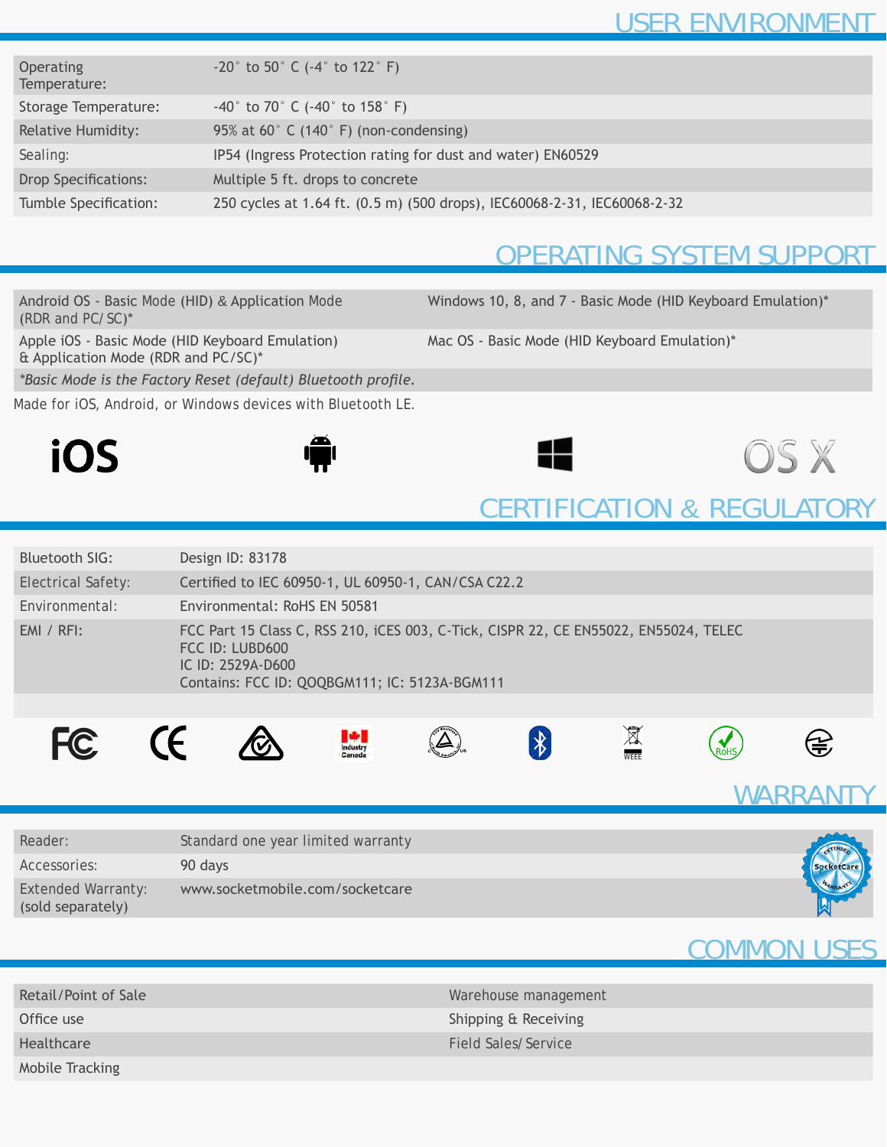| <b>Operating</b><br>Temperature: | $-20^{\circ}$ to 50° C (-4° to 122° F)                                   |
|----------------------------------|--------------------------------------------------------------------------|
| Storage Temperature:             | $-40^{\circ}$ to 70° C ( $-40^{\circ}$ to 158° F)                        |
| <b>Relative Humidity:</b>        | 95% at 60 $\degree$ C (140 $\degree$ F) (non-condensing)                 |
| Sealing:                         | IP54 (Ingress Protection rating for dust and water) EN60529              |
| <b>Drop Specifications:</b>      | Multiple 5 ft. drops to concrete                                         |
| Tumble Specification:            | 250 cycles at 1.64 ft. (0.5 m) (500 drops), IEC60068-2-31, IEC60068-2-32 |
|                                  |                                                                          |

## OPERATING SYSTEM SUPPORT

Android OS - Basic Mode (HID) & Application Mode (*RDR and PC/SC*)\*

Windows 10, 8, and 7 - Basic Mode (HID Keyboard Emulation)\*

Apple iOS - Basic Mode (HID Keyboard Emulation) & Application Mode (RDR and PC/SC)\*

Mac OS - Basic Mode (HID Keyboard Emulation)\*

*\*Basic Mode is the Factory Reset (default) Bluetooth profile.*

Made for iOS, Android, or Windows devices with Bluetooth LE.

![](_page_2_Picture_9.jpeg)

![](_page_2_Picture_10.jpeg)

![](_page_2_Picture_12.jpeg)

## CERTIFICATION & REGULATORY

| Bluetooth SIG:            | Design ID: 83178                                                                                                                                                              |  |  |
|---------------------------|-------------------------------------------------------------------------------------------------------------------------------------------------------------------------------|--|--|
| <b>Electrical Safety:</b> | Certified to IEC 60950-1, UL 60950-1, CAN/CSA C22.2                                                                                                                           |  |  |
| Environmental:            | Environmental: RoHS EN 50581                                                                                                                                                  |  |  |
| $EMI / RFI$ :             | FCC Part 15 Class C, RSS 210, iCES 003, C-Tick, CISPR 22, CE EN55022, EN55024, TELEC<br>FCC ID: LUBD600<br>IC ID: 2529A-D600<br>Contains: FCC ID: QOQBGM111; IC: 5123A-BGM111 |  |  |
|                           |                                                                                                                                                                               |  |  |
|                           | $\sim$                                                                                                                                                                        |  |  |

![](_page_2_Picture_15.jpeg)

![](_page_2_Picture_16.jpeg)

**CE** 

![](_page_2_Picture_17.jpeg)

![](_page_2_Picture_18.jpeg)

![](_page_2_Picture_19.jpeg)

![](_page_2_Picture_20.jpeg)

![](_page_2_Picture_21.jpeg)

WARRANT

ROHS

| Reader:                                        | Standard one year limited warranty | STENDER |
|------------------------------------------------|------------------------------------|---------|
| Accessories:                                   | 90 days                            |         |
| <b>Extended Warranty:</b><br>(sold separately) | www.socketmobile.com/socketcare    |         |

## COMMON USES

| Retail/Point of Sale | Warehouse management |
|----------------------|----------------------|
| Office use           | Shipping & Receiving |
| Healthcare           | Field Sales/Service  |
| Mobile Tracking      |                      |